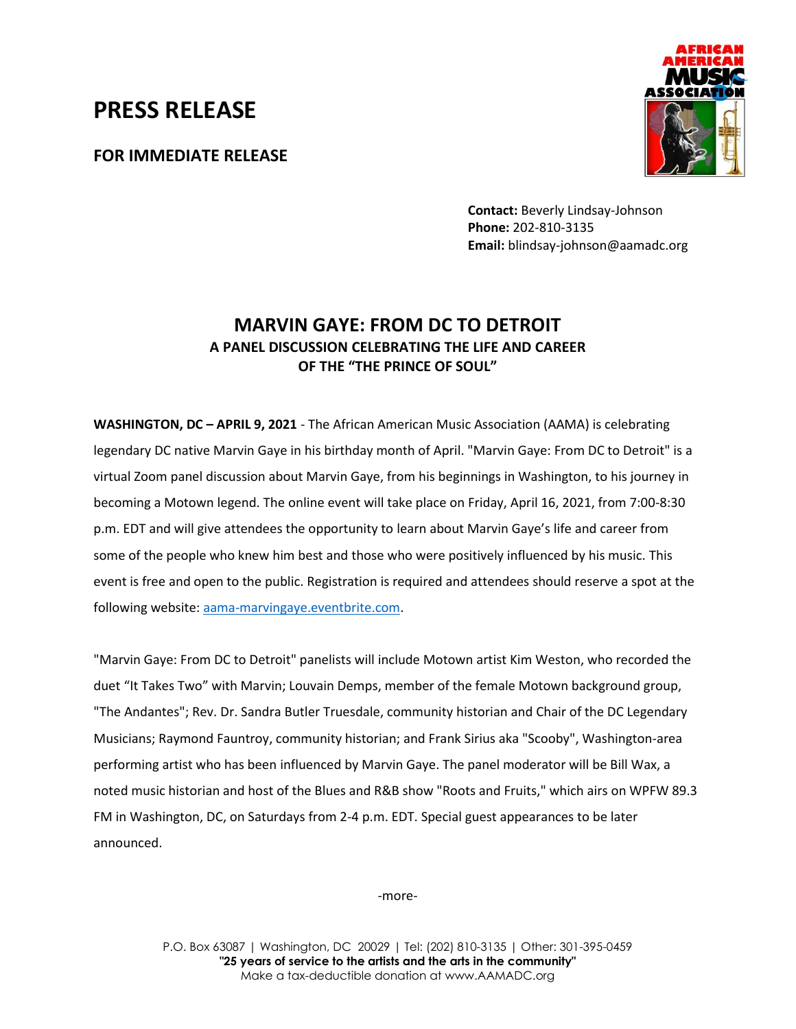## **PRESS RELEASE**

**FOR IMMEDIATE RELEASE**



**Contact:** Beverly Lindsay-Johnson **Phone:** 202-810-3135 **Email:** blindsay-johnson@aamadc.org

## **MARVIN GAYE: FROM DC TO DETROIT A PANEL DISCUSSION CELEBRATING THE LIFE AND CAREER OF THE "THE PRINCE OF SOUL"**

**WASHINGTON, DC – APRIL 9, 2021** - The African American Music Association (AAMA) is celebrating legendary DC native Marvin Gaye in his birthday month of April. "Marvin Gaye: From DC to Detroit" is a virtual Zoom panel discussion about Marvin Gaye, from his beginnings in Washington, to his journey in becoming a Motown legend. The online event will take place on Friday, April 16, 2021, from 7:00-8:30 p.m. EDT and will give attendees the opportunity to learn about Marvin Gaye's life and career from some of the people who knew him best and those who were positively influenced by his music. This event is free and open to the public. Registration is required and attendees should reserve a spot at the following website: [aama-marvingaye.eventbrite.com.](aama-marvingaye.eventbrite.com)

"Marvin Gaye: From DC to Detroit" panelists will include Motown artist Kim Weston, who recorded the duet "It Takes Two" with Marvin; Louvain Demps, member of the female Motown background group, "The Andantes"; Rev. Dr. Sandra Butler Truesdale, community historian and Chair of the DC Legendary Musicians; Raymond Fauntroy, community historian; and Frank Sirius aka "Scooby", Washington-area performing artist who has been influenced by Marvin Gaye. The panel moderator will be Bill Wax, a noted music historian and host of the Blues and R&B show "Roots and Fruits," which airs on WPFW 89.3 FM in Washington, DC, on Saturdays from 2-4 p.m. EDT. Special guest appearances to be later announced.

-more-

P.O. Box 63087 | Washington, DC 20029 | Tel: (202) 810-3135 | Other: 301-395-0459 **"25 years of service to the artists and the arts in the community"** Make a tax-deductible donation at www.AAMADC.org